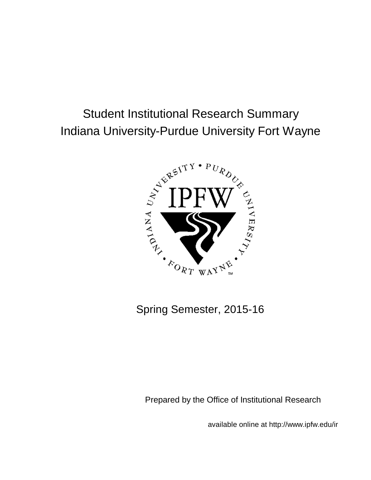# Student Institutional Research Summary Indiana University-Purdue University Fort Wayne



Spring Semester, 2015-16

Prepared by the Office of Institutional Research

available online at http://www.ipfw.edu/ir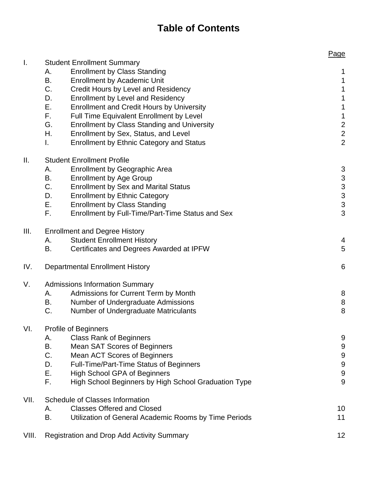# **Table of Contents**

|       |                                                                                                        | Page                                       |
|-------|--------------------------------------------------------------------------------------------------------|--------------------------------------------|
| I.    | <b>Student Enrollment Summary</b>                                                                      |                                            |
|       | <b>Enrollment by Class Standing</b><br>А.                                                              | $\mathbf{1}$                               |
|       | В.<br><b>Enrollment by Academic Unit</b>                                                               | $\mathbf 1$                                |
|       | C.<br>Credit Hours by Level and Residency                                                              | $\mathbf 1$                                |
|       | <b>Enrollment by Level and Residency</b><br>D.                                                         | $\mathbf 1$                                |
|       | Ε.<br><b>Enrollment and Credit Hours by University</b>                                                 | $\mathbf 1$                                |
|       | F.<br>Full Time Equivalent Enrollment by Level                                                         | $\mathbf 1$                                |
|       | G.<br><b>Enrollment by Class Standing and University</b><br>Η.<br>Enrollment by Sex, Status, and Level | $\overline{\mathbf{c}}$<br>$\overline{c}$  |
|       | <b>Enrollment by Ethnic Category and Status</b><br>L.                                                  | $\overline{2}$                             |
| Ш.    | <b>Student Enrollment Profile</b>                                                                      |                                            |
|       | <b>Enrollment by Geographic Area</b><br>А.                                                             | 3                                          |
|       | B.<br><b>Enrollment by Age Group</b>                                                                   |                                            |
|       | C.<br><b>Enrollment by Sex and Marital Status</b>                                                      | $\begin{array}{c} 3 \\ 3 \\ 3 \end{array}$ |
|       | D.<br><b>Enrollment by Ethnic Category</b>                                                             |                                            |
|       | Ε.<br><b>Enrollment by Class Standing</b>                                                              |                                            |
|       | F.<br>Enrollment by Full-Time/Part-Time Status and Sex                                                 | 3                                          |
| III.  | <b>Enrollment and Degree History</b>                                                                   |                                            |
|       | <b>Student Enrollment History</b><br>А.                                                                | 4                                          |
|       | Certificates and Degrees Awarded at IPFW<br>В.                                                         | 5                                          |
| IV.   | <b>Departmental Enrollment History</b>                                                                 | 6                                          |
| V.    | <b>Admissions Information Summary</b>                                                                  |                                            |
|       | Admissions for Current Term by Month<br>А.                                                             | 8                                          |
|       | В.<br>Number of Undergraduate Admissions                                                               | 8                                          |
|       | C.<br>Number of Undergraduate Matriculants                                                             | 8                                          |
| VI.   | <b>Profile of Beginners</b>                                                                            |                                            |
|       | <b>Class Rank of Beginners</b><br>А.                                                                   | 9                                          |
|       | В.<br><b>Mean SAT Scores of Beginners</b><br>C.                                                        | 9                                          |
|       | Mean ACT Scores of Beginners<br>Full-Time/Part-Time Status of Beginners<br>D.                          | $\overline{9}$<br>9                        |
|       | Ε.<br><b>High School GPA of Beginners</b>                                                              | $\overline{9}$                             |
|       | F.<br>High School Beginners by High School Graduation Type                                             | 9                                          |
| VII.  | <b>Schedule of Classes Information</b>                                                                 |                                            |
|       | <b>Classes Offered and Closed</b><br>А.                                                                | 10                                         |
|       | В.<br>Utilization of General Academic Rooms by Time Periods                                            | 11                                         |
| VIII. | <b>Registration and Drop Add Activity Summary</b>                                                      | 12                                         |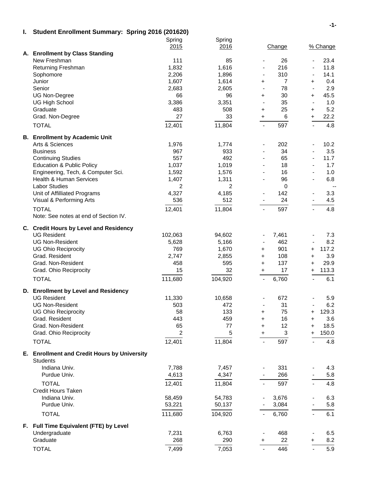#### **I. Student Enrollment Summary: Spring 2016 (201620)**

|                                              | Spring  | Spring         |                                   |                          |
|----------------------------------------------|---------|----------------|-----------------------------------|--------------------------|
| A. Enrollment by Class Standing              | 2015    | 2016           | Change                            | % Change                 |
| New Freshman                                 | 111     | 85             | 26<br>$\overline{\phantom{0}}$    | 23.4<br>$\blacksquare$   |
| Returning Freshman                           | 1,832   | 1,616          | 216<br>$\blacksquare$             | 11.8<br>$\blacksquare$   |
| Sophomore                                    | 2,206   | 1,896          | 310<br>$\blacksquare$             | 14.1<br>$\blacksquare$   |
| Junior                                       | 1,607   | 1,614          | $\overline{7}$<br>$\pm$           | 0.4<br>$\ddot{}$         |
| Senior                                       | 2,683   | 2,605          | 78<br>$\overline{\phantom{a}}$    | 2.9<br>$\blacksquare$    |
| UG Non-Degree                                | 66      | 96             | 30<br>$\ddot{}$                   | 45.5<br>$\ddot{}$        |
| <b>UG High School</b>                        | 3,386   | 3,351          | 35<br>$\overline{a}$              | 1.0<br>$\blacksquare$    |
| Graduate                                     | 483     | 508            | 25<br>$\ddot{}$                   | 5.2<br>$\ddot{}$         |
| Grad. Non-Degree                             | 27      | 33             | 6<br>$\ddot{}$                    | 22.2<br>$+$              |
| <b>TOTAL</b>                                 | 12,401  | 11,804         | 597<br>$\overline{\phantom{a}}$   | 4.8                      |
| <b>B. Enrollment by Academic Unit</b>        |         |                |                                   |                          |
| Arts & Sciences                              | 1,976   | 1,774          | 202<br>$\overline{\phantom{0}}$   | 10.2<br>$\blacksquare$   |
| <b>Business</b>                              | 967     | 933            | 34<br>$\blacksquare$              | 3.5<br>$\blacksquare$    |
| <b>Continuing Studies</b>                    | 557     | 492            | 65<br>$\blacksquare$              | 11.7<br>$\blacksquare$   |
| <b>Education &amp; Public Policy</b>         | 1,037   | 1,019          | 18                                | 1.7                      |
| Engineering, Tech, & Computer Sci.           | 1,592   | 1,576          | 16                                | 1.0                      |
| <b>Health &amp; Human Services</b>           | 1,407   | 1,311          | 96                                | 6.8                      |
| <b>Labor Studies</b>                         | 2       | $\overline{2}$ | $\mathbf 0$                       | $\overline{\phantom{a}}$ |
| Unit of Affilliated Programs                 | 4,327   | 4,185          | 142                               | 3.3                      |
| Visual & Performing Arts                     | 536     | 512            | 24                                | 4.5                      |
| <b>TOTAL</b>                                 | 12,401  | 11,804         | 597                               | 4.8                      |
| Note: See notes at end of Section IV.        |         |                |                                   |                          |
| C. Credit Hours by Level and Residency       |         |                |                                   |                          |
| <b>UG Resident</b>                           | 102,063 | 94,602         | 7,461<br>$\overline{\phantom{0}}$ | 7.3<br>$\blacksquare$    |
| <b>UG Non-Resident</b>                       | 5,628   | 5,166          | 462<br>$\blacksquare$             | 8.2<br>$\blacksquare$    |
| <b>UG Ohio Reciprocity</b>                   | 769     | 1,670          | 901<br>$\pm$                      | 117.2<br>$\ddot{}$       |
| Grad. Resident                               | 2,747   | 2,855          | 108<br>$\pm$                      | 3.9<br>$\ddag$           |
| Grad. Non-Resident                           | 458     | 595            | 137<br>$\ddot{}$                  | 29.9<br>$\ddot{}$        |
| Grad. Ohio Reciprocity                       | 15      | 32             | 17<br>$+$                         | 113.3<br>$\ddot{}$       |
| <b>TOTAL</b>                                 | 111,680 | 104,920        | 6,760<br>$\blacksquare$           | 6.1<br>$\equiv$          |
| D. Enrollment by Level and Residency         |         |                |                                   |                          |
| <b>UG Resident</b>                           | 11,330  | 10,658         | 672                               | 5.9                      |
| <b>UG Non-Resident</b>                       | 503     | 472            | 31<br>$\blacksquare$              | 6.2<br>$\blacksquare$    |
| <b>UG Ohio Reciprocity</b>                   | 58      | 133            | 75<br>$\ddag$                     | 129.3<br>+               |
| Grad. Resident                               | 443     | 459            | 16<br>$\pm$                       | 3.6<br>$\ddot{}$         |
| Grad. Non-Resident                           | 65      | 77             | 12<br>$\ddag$                     | 18.5<br>$\ddot{}$        |
| Grad. Ohio Reciprocity                       | 2       | 5              | 3<br>$\ddot{}$                    | 150.0<br>$\ddag$         |
| <b>TOTAL</b>                                 | 12,401  | 11,804         | 597<br>$\overline{\phantom{a}}$   | 4.8                      |
| E. Enrollment and Credit Hours by University |         |                |                                   |                          |
| <b>Students</b>                              |         |                |                                   |                          |
| Indiana Univ.                                | 7,788   | 7,457          | 331                               | 4.3                      |
| Purdue Univ.                                 | 4,613   | 4,347          | 266                               | 5.8                      |
| <b>TOTAL</b>                                 | 12,401  | 11,804         | 597                               | 4.8                      |
| <b>Credit Hours Taken</b>                    |         |                |                                   |                          |
| Indiana Univ.                                | 58,459  | 54,783         | 3,676                             | 6.3                      |
| Purdue Univ.                                 | 53,221  | 50,137         | 3,084                             | 5.8                      |
| <b>TOTAL</b>                                 | 111,680 | 104,920        | 6,760                             | 6.1                      |
|                                              |         |                |                                   |                          |
| F. Full Time Equivalent (FTE) by Level       | 7,231   | 6,763          |                                   |                          |
| Undergraduate<br>Graduate                    | 268     | 290            | 468<br>22<br>$\ddot{}$            | 6.5<br>8.2<br>$\ddot{}$  |
|                                              |         |                |                                   |                          |
| <b>TOTAL</b>                                 | 7,499   | 7,053          | 446                               | 5.9                      |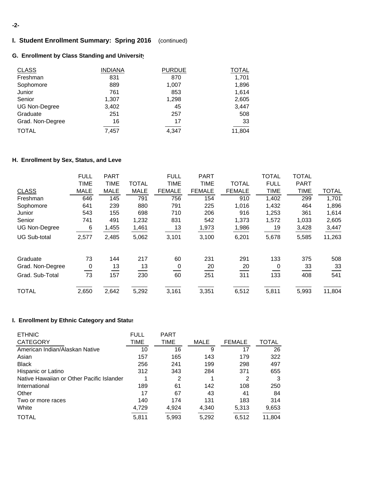#### **-2-**

## **I. Student Enrollment Summary: Spring 2016** (continued)

## **G. Enrollment by Class Standing and University**

| <b>CLASS</b>         | <b>INDIANA</b> | <b>PURDUE</b> | TOTAL  |
|----------------------|----------------|---------------|--------|
| Freshman             | 831            | 870           | 1,701  |
| Sophomore            | 889            | 1,007         | 1,896  |
| Junior               | 761            | 853           | 1,614  |
| Senior               | 1,307          | 1,298         | 2,605  |
| <b>UG Non-Degree</b> | 3,402          | 45            | 3,447  |
| Graduate             | 251            | 257           | 508    |
| Grad. Non-Degree     | 16             | 17            | 33     |
| <b>TOTAL</b>         | 7,457          | 4,347         | 11,804 |

### **H. Enrollment by Sex, Status, and Leve**

|                      | <b>FULL</b> | <b>PART</b> |              | <b>FULL</b>   | <b>PART</b>   |               | <b>TOTAL</b> | <b>TOTAL</b> |              |
|----------------------|-------------|-------------|--------------|---------------|---------------|---------------|--------------|--------------|--------------|
|                      | <b>TIME</b> | <b>TIME</b> | <b>TOTAL</b> | <b>TIME</b>   | TIME          | <b>TOTAL</b>  | <b>FULL</b>  | <b>PART</b>  |              |
| <b>CLASS</b>         | <b>MALE</b> | <b>MALE</b> | <b>MALE</b>  | <b>FEMALE</b> | <b>FEMALE</b> | <b>FEMALE</b> | <b>TIME</b>  | <b>TIME</b>  | <b>TOTAL</b> |
| Freshman             | 646         | 145         | 791          | 756           | 154           | 910           | 1,402        | 299          | 1,701        |
| Sophomore            | 641         | 239         | 880          | 791           | 225           | 1,016         | 1,432        | 464          | 1,896        |
| Junior               | 543         | 155         | 698          | 710           | 206           | 916           | 1,253        | 361          | 1,614        |
| Senior               | 741         | 491         | 1,232        | 831           | 542           | 1,373         | 1,572        | 1,033        | 2,605        |
| <b>UG Non-Degree</b> | 6           | 1,455       | 1,461        | 13            | 1,973         | 1,986         | 19           | 3,428        | 3,447        |
| <b>UG Sub-total</b>  | 2,577       | 2,485       | 5,062        | 3,101         | 3,100         | 6,201         | 5,678        | 5,585        | 11,263       |
| Graduate             | 73          | 144         | 217          | 60            | 231           | 291           | 133          | 375          | 508          |
| Grad. Non-Degree     | $\mathbf 0$ | 13          | 13           | 0             | 20            | 20            | 0            | 33           | 33           |
| Grad. Sub-Total      | 73          | 157         | 230          | 60            | 251           | 311           | 133          | 408          | 541          |
| <b>TOTAL</b>         | 2,650       | 2,642       | 5,292        | 3,161         | 3,351         | 6,512         | 5,811        | 5,993        | 11,804       |

#### **I. Enrollment by Ethnic Category and Status**

| <b>ETHNIC</b>                             | <b>FULL</b> | <b>PART</b> |             |               |              |
|-------------------------------------------|-------------|-------------|-------------|---------------|--------------|
| <b>CATEGORY</b>                           | TIME        | <b>TIME</b> | <b>MALE</b> | <b>FEMALE</b> | <b>TOTAL</b> |
| American Indian/Alaskan Native            | 10          | 16          | 9           | 17            | 26           |
| Asian                                     | 157         | 165         | 143         | 179           | 322          |
| <b>Black</b>                              | 256         | 241         | 199         | 298           | 497          |
| Hispanic or Latino                        | 312         | 343         | 284         | 371           | 655          |
| Native Hawaiian or Other Pacific Islander |             | 2           |             | 2             | 3            |
| International                             | 189         | 61          | 142         | 108           | 250          |
| Other                                     | 17          | 67          | 43          | 41            | 84           |
| Two or more races                         | 140         | 174         | 131         | 183           | 314          |
| White                                     | 4,729       | 4,924       | 4,340       | 5,313         | 9,653        |
| TOTAL                                     | 5,811       | 5,993       | 5,292       | 6,512         | 11,804       |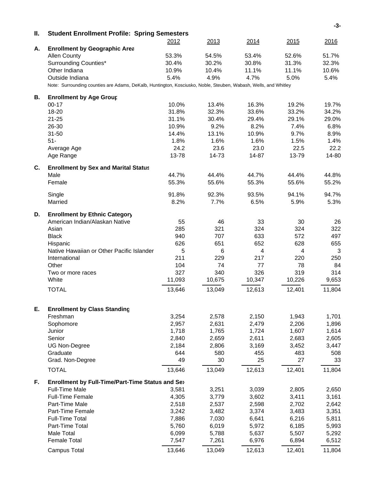|    |                                                                                                                 |               |               |                |               | -3-           |
|----|-----------------------------------------------------------------------------------------------------------------|---------------|---------------|----------------|---------------|---------------|
| Ⅱ. | <b>Student Enrollment Profile: Spring Semesters</b>                                                             |               | 2013          |                |               |               |
| А. | <b>Enrollment by Geographic Area</b>                                                                            | 2012          |               | 2014           | 2015          | <u>2016</u>   |
|    | <b>Allen County</b>                                                                                             | 53.3%         | 54.5%         | 53.4%          | 52.6%         | 51.7%         |
|    | Surrounding Counties*                                                                                           | 30.4%         | 30.2%         | 30.8%          | 31.3%         | 32.3%         |
|    | Other Indiana                                                                                                   | 10.9%         | 10.4%         | 11.1%          | 11.1%         | 10.6%         |
|    | Outside Indiana                                                                                                 | 5.4%          | 4.9%          | 4.7%           | 5.0%          | 5.4%          |
|    | Note: Surrounding counties are Adams, DeKalb, Huntington, Kosciusko, Noble, Steuben, Wabash, Wells, and Whitley |               |               |                |               |               |
|    |                                                                                                                 |               |               |                |               |               |
| В. | <b>Enrollment by Age Group</b>                                                                                  |               |               |                |               |               |
|    | $00 - 17$                                                                                                       | 10.0%         | 13.4%         | 16.3%          | 19.2%         | 19.7%         |
|    | 18-20                                                                                                           | 31.8%         | 32.3%         | 33.6%          | 33.2%         | 34.2%         |
|    | $21 - 25$                                                                                                       | 31.1%         | 30.4%         | 29.4%          | 29.1%         | 29.0%         |
|    | 26-30                                                                                                           | 10.9%         | 9.2%          | 8.2%           | 7.4%          | 6.8%          |
|    | $31 - 50$                                                                                                       | 14.4%         | 13.1%         | 10.9%          | 9.7%          | 8.9%          |
|    | $51-$                                                                                                           | 1.8%          | 1.6%          | 1.6%           | 1.5%          | 1.4%          |
|    | Average Age<br>Age Range                                                                                        | 24.2<br>13-78 | 23.6<br>14-73 | 23.0<br>14-87  | 22.5<br>13-79 | 22.2<br>14-80 |
|    |                                                                                                                 |               |               |                |               |               |
| C. | <b>Enrollment by Sex and Marital Status</b>                                                                     |               |               |                |               |               |
|    | Male                                                                                                            | 44.7%         | 44.4%         | 44.7%          | 44.4%         | 44.8%         |
|    | Female                                                                                                          | 55.3%         | 55.6%         | 55.3%          | 55.6%         | 55.2%         |
|    | Single                                                                                                          | 91.8%         | 92.3%         | 93.5%          | 94.1%         | 94.7%         |
|    | Married                                                                                                         | 8.2%          | 7.7%          | 6.5%           | 5.9%          | 5.3%          |
| D. | <b>Enrollment by Ethnic Category</b>                                                                            |               |               |                |               |               |
|    | American Indian/Alaskan Native                                                                                  | 55            | 46            | 33             | 30            | 26            |
|    | Asian                                                                                                           | 285           | 321           | 324            | 324           | 322           |
|    | <b>Black</b>                                                                                                    | 940           | 707           | 633            | 572           | 497           |
|    | Hispanic                                                                                                        | 626           | 651           | 652            | 628           | 655           |
|    | Native Hawaiian or Other Pacific Islander                                                                       | 5             | 6             | $\overline{4}$ | 4             | 3             |
|    | International                                                                                                   | 211           | 229           | 217            | 220           | 250           |
|    | Other                                                                                                           | 104           | 74            | 77             | 78            | 84            |
|    | Two or more races                                                                                               | 327           | 340           | 326            | 319           | 314           |
|    | White                                                                                                           | 11,093        | 10,675        | 10,347         | 10,226        | 9,653         |
|    | <b>TOTAL</b>                                                                                                    | 13,646        | 13,049        | 12,613         | 12,401        | 11,804        |
|    |                                                                                                                 |               |               |                |               |               |
| Е. | <b>Enrollment by Class Standing</b>                                                                             |               |               |                |               |               |
|    | Freshman                                                                                                        | 3,254         | 2,578         | 2,150          | 1,943         | 1,701         |
|    | Sophomore                                                                                                       | 2,957         | 2,631         | 2,479          | 2,206         | 1,896         |
|    | Junior                                                                                                          | 1,718         | 1,765         | 1,724          | 1,607         | 1,614         |
|    | Senior                                                                                                          | 2,840         | 2,659         | 2,611          | 2,683         | 2,605         |
|    | <b>UG Non-Degree</b>                                                                                            | 2,184         | 2,806         | 3,169          | 3,452         | 3,447         |
|    | Graduate                                                                                                        | 644           | 580           | 455            | 483           | 508           |
|    | Grad. Non-Degree                                                                                                | 49            | 30            | 25             | 27            | 33            |
|    | <b>TOTAL</b>                                                                                                    | 13,646        | 13,049        | 12,613         | 12,401        | 11,804        |
| F. | Enrollment by Full-Time/Part-Time Status and Sex                                                                |               |               |                |               |               |
|    | <b>Full-Time Male</b>                                                                                           | 3,581         | 3,251         | 3,039          | 2,805         | 2,650         |
|    | <b>Full-Time Female</b>                                                                                         | 4,305         | 3,779         | 3,602          | 3,411         | 3,161         |
|    | Part-Time Male                                                                                                  | 2,518         | 2,537         | 2,598          | 2,702         | 2,642         |
|    | Part-Time Female                                                                                                | 3,242         | 3,482         | 3,374          | 3,483         | 3,351         |
|    | <b>Full-Time Total</b>                                                                                          | 7,886         | 7,030         | 6,641          | 6,216         | 5,811         |
|    | Part-Time Total                                                                                                 | 5,760         | 6,019         | 5,972          | 6,185         | 5,993         |
|    | Male Total                                                                                                      | 6,099         | 5,788         | 5,637          | 5,507         | 5,292         |
|    | <b>Female Total</b>                                                                                             | 7,547         | 7,261         | 6,976          | 6,894         | 6,512         |
|    | <b>Campus Total</b>                                                                                             | 13,646        | 13,049        | 12,613         | 12,401        | 11,804        |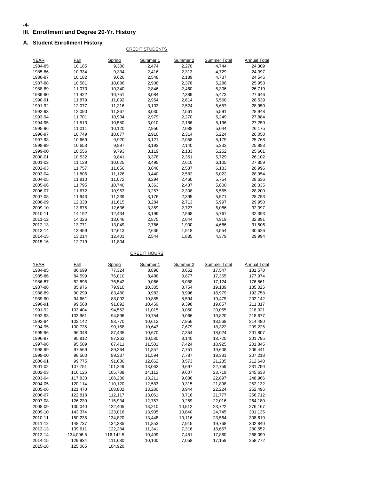#### **-4-**

### **III. Enrollment and Degree 20-Yr. History**

#### **A. Student Enrollment History**

#### CREDIT STUDENTS

| <b>YEAR</b> | Fall   | Spring | Summer 1 | Summer 2 | <b>Summer Total</b> | <b>Annual Total</b> |
|-------------|--------|--------|----------|----------|---------------------|---------------------|
| 1984-85     | 10,185 | 9,380  | 2,474    | 2,270    | 4,744               | 24,309              |
| 1985-86     | 10,334 | 9,334  | 2,416    | 2,313    | 4,729               | 24,397              |
| 1986-87     | 10,182 | 9,626  | 2,548    | 2,189    | 4,737               | 24,545              |
| 1987-88     | 10,581 | 10,086 | 2,908    | 2,378    | 5,286               | 25,953              |
| 1988-89     | 11,073 | 10,340 | 2,846    | 2,460    | 5,306               | 26,719              |
| 1989-90     | 11,422 | 10,751 | 3,084    | 2,389    | 5,473               | 27,646              |
| 1990-91     | 11,879 | 11,092 | 2,954    | 2,614    | 5,568               | 28,539              |
| 1991-92     | 12,077 | 11,216 | 3,133    | 2,524    | 5,657               | 28,950              |
| 1992-93     | 12,090 | 11,267 | 3,030    | 2,561    | 5,591               | 28,948              |
| 1993-94     | 11,701 | 10,934 | 2,979    | 2,270    | 5,249               | 27,884              |
| 1994-95     | 11,513 | 10,550 | 3,010    | 2,186    | 5,196               | 27,259              |
| 1995-96     | 11,011 | 10,120 | 2,956    | 2,088    | 5,044               | 26,175              |
| 1996-97     | 10,749 | 10,077 | 2,910    | 2,314    | 5,224               | 26,050              |
| 1997-98     | 10,669 | 9,920  | 3,121    | 2,058    | 5,179               | 25,768              |
| 1998-99     | 10,653 | 9,897  | 3,193    | 2,140    | 5,333               | 25,883              |
| 1999-00     | 10,556 | 9,793  | 3,119    | 2,133    | 5,252               | 25,601              |
| 2000-01     | 10,532 | 9,841  | 3,378    | 2,351    | 5,729               | 26,102              |
| 2001-02     | 11,129 | 10,625 | 3,495    | 2,610    | 6,105               | 27,859              |
| 2002-03     | 11,757 | 11,056 | 3,646    | 2,537    | 6,183               | 28,996              |
| 2003-04     | 11,806 | 11,126 | 3,440    | 2,582    | 6,022               | 28,954              |
| 2004-05     | 11,810 | 11,072 | 3,294    | 2,460    | 5,754               | 28,636              |
| 2005-06     | 11,795 | 10,740 | 3,363    | 2,437    | 5,800               | 28,335              |
| 2006-07     | 11,672 | 10,963 | 3,257    | 2,308    | 5,565               | 28,200              |
| 2007-08     | 11,943 | 11,239 | 3,176    | 2,395    | 5,571               | 28,753              |
| 2008-09     | 12,338 | 11,615 | 3,284    | 2,713    | 5,997               | 29,950              |
| 2009-10     | 13,675 | 12,636 | 3,359    | 2,727    | 6,086               | 32,397              |
| 2010-11     | 14,192 | 12,434 | 3,199    | 2,568    | 5,767               | 32,393              |
| 2011-12     | 14,326 | 13,646 | 2,875    | 2,044    | 4,919               | 32,891              |
| 2012-13     | 13,771 | 13,049 | 2,786    | 1,900    | 4,686               | 31,506              |
| 2013-14     | 13,459 | 12,613 | 2,636    | 1,918    | 4,554               | 30,626              |
| 2014-15     | 13,214 | 12,401 | 2,544    | 1,835    | 4,379               | 29,994              |
| 2015-16     | 12,719 | 11,804 |          |          |                     |                     |

CREDIT HOURS

| YEAR    | Fall      | Spring    | Summer 1 | Summer 2 | <b>Summer Total</b> | <b>Annual Total</b> |
|---------|-----------|-----------|----------|----------|---------------------|---------------------|
| 1984-85 | 86,699    | 77,324    | 8,896    | 8,651    | 17,547              | 181,570             |
| 1985-86 | 84,599    | 76,010    | 8,488    | 8,877    | 17,365              | 177,974             |
| 1986-87 | 82,895    | 76,542    | 9,066    | 8,058    | 17,124              | 176,561             |
| 1987-88 | 85,976    | 79,910    | 10,385   | 8,754    | 19,139              | 185,025             |
| 1988-89 | 90,299    | 83,480    | 9,983    | 8,996    | 18,979              | 192,758             |
| 1989-90 | 94,661    | 88,002    | 10,885   | 8,594    | 19,479              | 202,142             |
| 1990-91 | 99,568    | 91,892    | 10,459   | 9,398    | 19,857              | 211,317             |
| 1991-92 | 103,404   | 94,552    | 11,015   | 9,050    | 20,065              | 218,021             |
| 1992-93 | 103,961   | 94,896    | 10,754   | 9,066    | 19,820              | 218,677             |
| 1993-94 | 102,142   | 93,770    | 10,612   | 7,956    | 18,568              | 214,480             |
| 1994-95 | 100,735   | 90,168    | 10,643   | 7,679    | 18,322              | 209,225             |
| 1995-96 | 96,348    | 87,435    | 10,670   | 7,354    | 18,024              | 201,807             |
| 1996-97 | 95,812    | 87,263    | 10,580   | 8,140    | 18,720              | 201,795             |
| 1997-98 | 95,509    | 87,411    | 11,501   | 7,424    | 18,925              | 201,845             |
| 1998-99 | 97,569    | 89,264    | 11,857   | 7,751    | 19,608              | 206,441             |
| 1999-00 | 98,500    | 89,337    | 11,594   | 7,787    | 19,381              | 207,218             |
| 2000-01 | 99,775    | 91,630    | 12,662   | 8,573    | 21,235              | 212,640             |
| 2001-02 | 107,751   | 101,249   | 13,062   | 9,697    | 22,759              | 231,759             |
| 2002-03 | 116,126   | 105,788   | 14,112   | 9,607    | 23,719              | 245,633             |
| 2003-04 | 117,833   | 108,236   | 13,211   | 9,686    | 22,897              | 248,966             |
| 2004-05 | 120,114   | 110,120   | 12,583   | 9,315    | 21,898              | 252,132             |
| 2005-06 | 121,470   | 108,802   | 13,280   | 8,944    | 22,224              | 252,496             |
| 2006-07 | 122,818   | 112,117   | 13,061   | 8,716    | 21,777              | 256,712             |
| 2007-08 | 126,230   | 115,934   | 12,757   | 9,259    | 22,016              | 264,180             |
| 2008-09 | 130,040   | 122,405   | 13,210   | 10,512   | 23,722              | 276,167             |
| 2009-10 | 143,374   | 133,016   | 13,905   | 10,840   | 24,745              | 301,135             |
| 2010-11 | 150,235   | 134,820   | 13,448   | 10,116   | 23,564              | 308,619             |
| 2011-12 | 148,737   | 134,335   | 11,853   | 7,915    | 19,768              | 302,840             |
| 2012-13 | 139,611   | 122,284   | 11,341   | 7,316    | 18,657              | 280,552             |
| 2013-14 | 134,096.5 | 116,142.5 | 10,409   | 7,451    | 17,860              | 268,099             |
| 2014-15 | 129,934   | 111,680   | 10,100   | 7,058    | 17,158              | 258,772             |
| 2015-16 | 125,065   | 104,920   |          |          |                     |                     |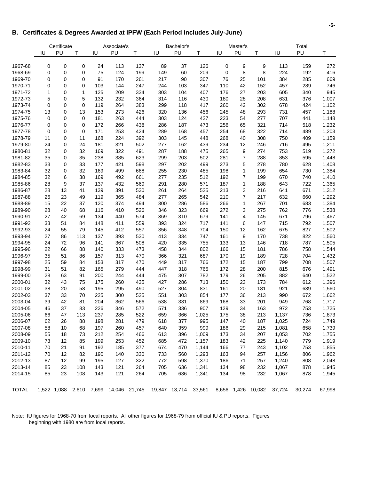### **B. Certificates & Degrees Awarded at IPFW (Each Period Includes July-June)**

|              |             | Certificate |             |     | Associate's                           |     |     | Bachelor's           |       |     | Master's       |                    |        | Total  |        |
|--------------|-------------|-------------|-------------|-----|---------------------------------------|-----|-----|----------------------|-------|-----|----------------|--------------------|--------|--------|--------|
|              | IU          | PU          | Τ           | IU  | PU                                    | т   | IU  | PU                   | т     | IU  | PU             | т                  | IU     | PU     | Τ      |
|              |             |             |             |     |                                       |     |     |                      |       |     |                |                    |        |        |        |
| 1967-68      | 0           | 0           | 0           | 24  | 113                                   | 137 | 89  | 37                   | 126   | 0   | 9              | 9                  | 113    | 159    | 272    |
| 1968-69      | 0           | $\mathbf 0$ | 0           | 75  | 124                                   | 199 | 149 | 60                   | 209   | 0   | 8              | 8                  | 224    | 192    | 416    |
| 1969-70      | 0           | 0           | 0           | 91  | 170                                   | 261 | 217 | 90                   | 307   | 76  | 25             | 101                | 384    | 285    | 669    |
| 1970-71      | 0           | $\mathbf 0$ | 0           | 103 | 144                                   | 247 | 244 | 103                  | 347   | 110 | 42             | 152                | 457    | 289    | 746    |
| 1971-72      | 1           | $\mathbf 0$ | 1           | 125 | 209                                   | 334 | 303 | 104                  | 407   | 176 | 27             | 203                | 605    | 340    | 945    |
| 1972-73      | 5           | 0           | 5           | 132 | 232                                   | 364 | 314 | 116                  | 430   | 180 | 28             | 208                | 631    | 376    | 1,007  |
| 1973-74      | $\mathbf 0$ | $\mathbf 0$ | $\mathbf 0$ | 119 | 264                                   | 383 | 299 | 118                  | 417   | 260 | 42             | 302                | 678    | 424    | 1,102  |
| 1974-75      | 13          | 0           | 13          | 153 | 273                                   | 426 | 320 | 136                  | 456   | 245 | 48             | 293                | 731    | 457    | 1,188  |
| 1975-76      | 0           | $\mathbf 0$ | 0           | 181 | 263                                   | 444 | 303 | 124                  | 427   | 223 | 54             | 277                | 707    | 441    | 1,148  |
| 1976-77      | 0           | $\mathbf 0$ | 0           | 172 | 266                                   | 438 | 286 | 187                  | 473   | 256 | 65             | 321                | 714    | 518    | 1,232  |
| 1977-78      | 0           | 0           | $\mathbf 0$ | 171 | 253                                   | 424 | 289 | 168                  | 457   | 254 | 68             | 322                | 714    | 489    | 1,203  |
| 1978-79      | 11          | 0           | 11          | 168 | 224                                   | 392 | 303 | 145                  | 448   | 268 | 40             | 308                | 750    | 409    | 1,159  |
| 1979-80      | 24          | 0           | 24          | 181 | 321                                   | 502 | 277 | 162                  | 439   | 234 | 12             | 246                | 716    | 495    | 1,211  |
| 1980-81      | 32          | $\mathbf 0$ | 32          | 169 | 322                                   | 491 | 287 | 188                  | 475   | 265 | 9              | 274                | 753    | 519    | 1,272  |
| 1981-82      | 35          | 0           | 35          | 238 | 385                                   | 623 | 299 | 203                  | 502   | 281 | $\overline{7}$ | 288                | 853    | 595    | 1,448  |
| 1982-83      | 33          | 0           | 33          | 177 | 421                                   | 598 | 297 | 202                  | 499   | 273 | 5              | 278                | 780    | 628    | 1,408  |
| 1983-84      | 32          | 0           | 32          | 169 | 499                                   | 668 | 255 | 230                  | 485   | 198 | 1              | 199                | 654    | 730    | 1,384  |
| 1984-85      | 32          | 6           | 38          | 169 | 492                                   | 661 | 277 | 235                  | 512   | 192 | $\overline{7}$ | 199                | 670    | 740    | 1,410  |
| 1985-86      | 28          | 9           | 37          | 137 | 432                                   | 569 | 291 | 280                  | 571   | 187 | 1              | 188                | 643    | 722    | 1,365  |
| 1986-87      | 28          | 13          | 41          | 139 | 391                                   | 530 | 261 | 264                  | 525   | 213 | 3              | 216                | 641    | 671    | 1,312  |
| 1987-88      | 26          | 23          | 49          | 119 | 365                                   | 484 | 277 | 265                  | 542   | 210 | 7              | 217                | 632    | 660    | 1,292  |
| 1988-89      | 15          | 22          | 37          | 120 | 374                                   | 494 | 300 | 286                  | 586   | 266 | 1              | 267                | 701    | 683    | 1,384  |
| 1989-90      | 28          | 40          | 68          | 116 | 410                                   | 526 | 346 | 323                  | 669   | 272 | 3              | 275                | 762    | 776    | 1,538  |
| 1990-91      | 27          | 42          | 69          | 134 | 440                                   | 574 | 369 | 310                  | 679   | 141 | 4              | 145                | 671    | 796    | 1,467  |
| 1991-92      | 33          | 51          | 84          | 148 | 411                                   | 559 | 393 | 324                  | 717   | 141 | 6              | 147                | 715    | 792    | 1,507  |
| 1992-93      | 24          | 55          | 79          | 145 | 412                                   | 557 | 356 | 348                  | 704   | 150 | 12             | 162                | 675    | 827    | 1,502  |
| 1993-94      | 27          | 86          | 113         | 137 | 393                                   | 530 | 413 | 334                  | 747   | 161 | 9              | 170                | 738    | 822    | 1,560  |
| 1994-95      | 24          | 72          | 96          | 141 | 367                                   | 508 | 420 | 335                  | 755   | 133 | 13             | 146                | 718    | 787    | 1,505  |
| 1995-96      | 22          | 66          | 88          | 140 | 333                                   | 473 | 458 | 344                  | 802   | 166 | 15             | 181                | 786    | 758    | 1,544  |
| 1996-97      | 35          | 51          | 86          | 157 | 313                                   | 470 | 366 | 321                  | 687   | 170 | 19             | 189                | 728    | 704    | 1,432  |
| 1997-98      | 25          | 59          | 84          | 153 | 317                                   | 470 | 449 | 317                  | 766   | 172 | 15             | 187                | 799    | 708    | 1,507  |
| 1998-99      | 31          | 51          | 82          | 165 | 279                                   | 444 | 447 | 318                  | 765   | 172 | 28             | 200                | 815    | 676    | 1,491  |
| 1999-00      | 28          | 63          | 91          | 200 | 244                                   | 444 | 475 | 307                  | 782   | 179 | 26             | 205                | 882    | 640    | 1,522  |
| 2000-01      | 32          | 43          | 75          | 175 | 260                                   | 435 | 427 | 286                  | 713   | 150 | 23             | 173                | 784    | 612    | 1,396  |
| 2001-02      | 38          | 20          | 58          | 195 | 295                                   | 490 | 527 | 304                  | 831   | 161 | 20             | 181                | 921    | 639    | 1,560  |
| 2002-03      | 37          | 33          | 70          | 225 | 300                                   | 525 | 551 | 303                  | 854   | 177 | 36             | 213                | 990    | 672    | 1,662  |
| 2003-04      | 39          | 42          | 81          | 204 | 362                                   | 566 | 538 | 331                  | 869   | 168 | 33             | 201                | 949    | 768    | 1,717  |
| 2004-05      | 46          | 37          | 83          | 226 | 346                                   | 572 | 571 | 336                  | 907   | 129 | 34             | 163                | 972    | 753    | 1,725  |
| 2005-06      | 66          | 47          | 113         | 237 | 285                                   | 522 | 659 | 366                  | 1,025 | 175 | 38             | 213                | 1,137  | 736    | 1,873  |
| 2006-07      | 62          | 26          | 88          | 198 | 281                                   | 479 | 618 | 377                  | 995   | 147 | 40             | 187                | 1,025  | 724    | 1,749  |
| 2007-08      | 58          | 10          | 68          | 197 | 260                                   | 457 | 640 | 359                  | 999   | 186 | 29             | 215                | 1,081  | 658    | 1,739  |
| 2008-09      | 55          | 18          | 73          | 212 | 254                                   | 466 | 613 | 396                  | 1,009 | 173 | 34             | 207                | 1,053  | 702    | 1,755  |
| 2009-10      | 73          | 12          | 85          | 199 | 253                                   | 452 | 685 | 472                  | 1,157 | 183 | 42             | 225                | 1,140  | 779    | 1,919  |
| 2010-11      | 70          | 21          | 91          | 192 | 185                                   | 377 | 674 | 470                  | 1,144 | 166 | 77             | 243                | 1,102  | 753    | 1,855  |
| 2011-12      | 70          | 12          | 82          | 190 | 140                                   | 330 | 733 | 560                  | 1,293 | 163 | 94             | 257                | 1,156  | 806    | 1,962  |
| 2012-13      | 87          | 12          | 99          | 195 | 127                                   | 322 | 772 | 598                  | 1,370 | 186 | 71             | 257                | 1,240  | 808    | 2,048  |
| 2013-14      | 85          | 23          | 108         | 143 | 121                                   | 264 | 705 | 636                  | 1,341 | 134 | 98             | 232                | 1,067  | 878    | 1,945  |
| 2014-15      | 85          | 23          | 108         | 143 | 121                                   | 264 | 705 | 636                  | 1,341 | 134 | 98             | 232                | 1,067  | 878    | 1,945  |
| <b>TOTAL</b> |             |             |             |     | 1,522 1,088 2,610 7,699 14,046 21,745 |     |     | 19,847 13,714 33,561 |       |     |                | 8,656 1,426 10,082 | 37,724 | 30,274 | 67,998 |

Note: IU figures for 1968-70 from local reports. All other figures for 1968-79 from official IU & PU reports. Figures beginning with 1980 are from local reports.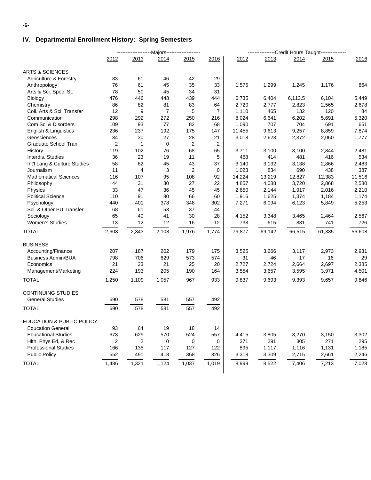### **IV. Departmental Enrollment History: Spring Semesters**

|                                   |                | ----------------------Majors------------------- |                |                |                | ----------------Credit Hours Taught--------------- |        |         |        |        |
|-----------------------------------|----------------|-------------------------------------------------|----------------|----------------|----------------|----------------------------------------------------|--------|---------|--------|--------|
|                                   | 2012           | 2013                                            | 2014           | 2015           | 2016           | 2012                                               | 2013   | 2014    | 2015   | 2016   |
| <b>ARTS &amp; SCIENCES</b>        |                |                                                 |                |                |                |                                                    |        |         |        |        |
| <b>Agriculture &amp; Forestry</b> | 83             | 61                                              | 46             | 42             | 29             |                                                    |        |         |        |        |
| Anthropology                      | 76             | 61                                              | 45             | 35             | 33             | 1,575                                              | 1,299  | 1,245   | 1,176  | 864    |
| Arts & Sci. Spec. St.             | 78             | 50                                              | 45             | 34             | 31             |                                                    |        |         |        |        |
| Biology                           | 476            | 446                                             | 448            | 439            | 444            | 6,735                                              | 6,404  | 6,113.5 | 6,104  | 5,449  |
| Chemistry                         | 86             | 82                                              | 81             | 83             | 64             | 2,720                                              | 2,777  | 2,823   | 2,565  | 2,678  |
| Coll. Arts & Sci. Transfer        | 12             | 9                                               | $\overline{7}$ | 5              | $\overline{7}$ | 1,110                                              | 465    | 132     | 120    | 84     |
| Communication                     | 298            | 292                                             | 272            | 250            | 216            | 8,024                                              | 6,641  | 6,202   | 5,691  | 5,320  |
| Com Sci & Disorders               | 109            | 93                                              | 77             | 82             | 68             | 1,090                                              | 707    | 704     | 691    | 651    |
| English & Linguistics             | 236            | 237                                             | 192            | 175            | 147            | 11,455                                             | 9,613  | 9,257   | 8,859  | 7,874  |
| Geosciences                       | 34             | 30                                              | 27             | 28             | 21             | 3,018                                              | 2,623  | 2,372   | 2,060  | 1,777  |
| Graduate School Tran.             | $\overline{2}$ | $\mathbf{1}$                                    | 0              | 2              | 2              |                                                    |        |         |        |        |
| History                           | 119            | 102                                             | 76             | 68             | 65             | 3,711                                              | 3,100  | 3,100   | 2,844  | 2,481  |
| Interdis. Studies                 | 36             | 23                                              | 19             | 11             | 5              | 468                                                | 414    | 481     | 416    | 534    |
| Int'l Lang & Culture Studies      | 58             | 62                                              | 45             | 43             | 37             | 3,140                                              | 3,132  | 3,138   | 2,866  | 2,483  |
| Journalism                        | 11             | 4                                               | 3              | $\overline{2}$ | 0              | 1,023                                              | 834    | 690     | 438    | 387    |
| <b>Mathematical Sciences</b>      | 116            | 107                                             | 95             | 108            | 92             | 14,224                                             | 13,219 | 12,827  | 12,383 | 11,516 |
| Philosophy                        | 44             | 31                                              | 30             | 27             | 22             | 4,857                                              | 4,088  | 3,720   | 2,868  | 2,580  |
| Physics                           | 33             | 47                                              | 36             | 45             | 45             | 2,650                                              | 2,144  | 1,917   | 2,016  | 2,210  |
| <b>Political Science</b>          | 110            | 91                                              | 80             | 66             | 60             | 1,916                                              | 1,625  | 1,374   | 1,184  | 1,174  |
| Psychology                        | 440            | 401                                             | 378            | 348            | 302            | 7,271                                              | 6,094  | 6,123   | 5,849  | 5,253  |
| Sci. & Other PU Transfer          | 68             | 61                                              | 53             | 37             | 44             |                                                    |        |         |        |        |
| Sociology                         | 65             | 40                                              | 41             | 30             | 28             | 4,152                                              | 3,348  | 3,465   | 2,464  | 2,567  |
| <b>Women's Studies</b>            | 13             | 12                                              | 12             | 16             | 12             | 738                                                | 615    | 831     | 741    | 726    |
| <b>TOTAL</b>                      | 2,603          | 2,343                                           | 2,108          | 1,976          | 1,774          | 79,877                                             | 69,142 | 66,515  | 61,335 | 56,608 |
| <b>BUSINESS</b>                   |                |                                                 |                |                |                |                                                    |        |         |        |        |
| Accounting/Finance                | 207            | 187                                             | 202            | 179            | 175            | 3,525                                              | 3,266  | 3,117   | 2,973  | 2,931  |
| <b>Business Admin/BUA</b>         | 798            | 706                                             | 629            | 573            | 574            | 31                                                 | 46     | 17      | 16     | 29     |
| Economics                         | 21             | 23                                              | 21             | 25             | 20             | 2,727                                              | 2,724  | 2,664   | 2,697  | 2,385  |
| Management/Marketing              | 224            | 193                                             | 205            | 190            | 164            | 3,554                                              | 3,657  | 3,595   | 3,971  | 4,501  |
| <b>TOTAL</b>                      | 1,250          | 1,109                                           | 1,057          | 967            | 933            | 9,837                                              | 9,693  | 9,393   | 9,657  | 9,846  |
|                                   |                |                                                 |                |                |                |                                                    |        |         |        |        |
| <b>CONTINUING STUDIES</b>         |                |                                                 |                |                |                |                                                    |        |         |        |        |
| <b>General Studies</b>            | 690            | 578                                             | 581            | 557            | 492            |                                                    |        |         |        |        |
| <b>TOTAL</b>                      | 690            | 578                                             | 581            | 557            | 492            |                                                    |        |         |        |        |
| EDUCATION & PUBLIC POLICY         |                |                                                 |                |                |                |                                                    |        |         |        |        |
| <b>Education General</b>          | 93             | 64                                              | 19             | 18             | 14             |                                                    |        |         |        |        |
| <b>Educational Studies</b>        | 673            | 629                                             | 570            | 524            | 557            | 4,415                                              | 3,805  | 3,270   | 3,150  | 3,302  |
| Hith, Phys Ed, & Rec              | 2              | $\overline{2}$                                  | 0              | 0              | 0              | 371                                                | 291    | 305     | 271    | 295    |
| <b>Professional Studies</b>       | 166            | 135                                             | 117            | 127            | 122            | 895                                                | 1,117  | 1,116   | 1,131  | 1,185  |
| <b>Public Policy</b>              | 552            | 491                                             | 418            | 368            | 326            | 3,318                                              | 3,309  | 2,715   | 2,661  | 2,246  |
| <b>TOTAL</b>                      | 1,486          | 1,321                                           | 1,124          | 1,037          | 1,019          | 8,999                                              | 8,522  | 7,406   | 7,213  | 7,028  |
|                                   |                |                                                 |                |                |                |                                                    |        |         |        |        |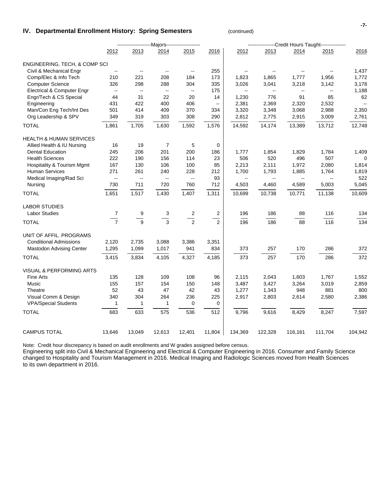#### **IV. Departmental Enrollment History: Spring Semesters Continued**)

|                                       |                                               |                          | -------------Majors------------------- |                          |                          |                          |                                               |                                               | ---------Credit Hours Taught--------------- |         |
|---------------------------------------|-----------------------------------------------|--------------------------|----------------------------------------|--------------------------|--------------------------|--------------------------|-----------------------------------------------|-----------------------------------------------|---------------------------------------------|---------|
|                                       | 2012                                          | 2013                     | 2014                                   | 2015                     | 2016                     | 2012                     | 2013                                          | 2014                                          | 2015                                        | 2016    |
| ENGINEERING, TECH, & COMP SCI         |                                               |                          |                                        |                          |                          |                          |                                               |                                               |                                             |         |
| Civil & Mechanical Engr               | $\overline{\phantom{a}}$                      | $\overline{\phantom{m}}$ | $\overline{\phantom{a}}$               | $\overline{\phantom{m}}$ | 255                      |                          | $\overline{\phantom{a}}$                      | $\overline{\phantom{a}}$                      |                                             | 1,437   |
| Comp/Elec & Info Tech                 | 210                                           | 221                      | 208                                    | 184                      | 173                      | 1,823                    | 1,865                                         | 1,777                                         | 1,956                                       | 1,772   |
| <b>Computer Science</b>               | 326                                           | 298                      | 288                                    | 304                      | 335                      | 3,026                    | 3,041                                         | 3,218                                         | 3,142                                       | 3,178   |
| Electrical & Computer Engr            | $\mathord{\hspace{1pt}\text{--}\hspace{1pt}}$ | $\sim$                   | $\overline{\phantom{a}}$               | $\overline{\phantom{a}}$ | 175                      | $\overline{\phantom{a}}$ | $-$                                           | $\mathord{\hspace{1pt}\text{--}\hspace{1pt}}$ | --                                          | 1,188   |
| Engr/Tech & CS Special                | 44                                            | 31                       | 22                                     | 20                       | 14                       | 1,230                    | 776                                           | 91                                            | 85                                          | 62      |
| Engineering                           | 431                                           | 422                      | 400                                    | 406                      | $\overline{\phantom{a}}$ | 2,381                    | 2,369                                         | 2,320                                         | 2,532                                       | $\sim$  |
| Man/Con Eng Tech/Int Des              | 501                                           | 414                      | 409                                    | 370                      | 334                      | 3,320                    | 3,348                                         | 3,068                                         | 2,988                                       | 2,350   |
| Org Leadership & SPV                  | 349                                           | 319                      | 303                                    | 308                      | 290                      | 2,812                    | 2,775                                         | 2,915                                         | 3,009                                       | 2,761   |
| <b>TOTAL</b>                          | 1,861                                         | 1,705                    | 1,630                                  | 1,592                    | 1,576                    | 14,592                   | 14,174                                        | 13,389                                        | 13,712                                      | 12,748  |
| <b>HEALTH &amp; HUMAN SERVICES</b>    |                                               |                          |                                        |                          |                          |                          |                                               |                                               |                                             |         |
| Allied Health & IU Nursing            | 16                                            | 19                       | 7                                      | 5                        | 0                        |                          |                                               |                                               |                                             |         |
| <b>Dental Education</b>               | 245                                           | 206                      | 201                                    | 200                      | 186                      | 1,777                    | 1,854                                         | 1,829                                         | 1,784                                       | 1,409   |
| <b>Health Sciences</b>                | 222                                           | 190                      | 156                                    | 114                      | 23                       | 506                      | 520                                           | 496                                           | 507                                         | 0       |
| <b>Hospitality &amp; Tourism Mgmt</b> | 167                                           | 130                      | 106                                    | 100                      | 85                       | 2,213                    | 2,111                                         | 1,972                                         | 2,080                                       | 1,814   |
| <b>Human Services</b>                 | 271                                           | 261                      | 240                                    | 228                      | 212                      | 1,700                    | 1,793                                         | 1,885                                         | 1,764                                       | 1,819   |
| Medical Imaging/Rad Sci               | $\overline{\phantom{a}}$                      | $\sim$                   | $\overline{\phantom{a}}$               | $\overline{\phantom{a}}$ | 93                       | $\overline{\phantom{a}}$ | $\mathord{\hspace{1pt}\text{--}\hspace{1pt}}$ | $\overline{\phantom{a}}$                      | --                                          | 522     |
| Nursing                               | 730                                           | 711                      | 720                                    | 760                      | 712                      | 4,503                    | 4,460                                         | 4,589                                         | 5,003                                       | 5,045   |
| <b>TOTAL</b>                          | 1,651                                         | 1,517                    | 1,430                                  | 1,407                    | 1,311                    | 10,699                   | 10,738                                        | 10,771                                        | 11,138                                      | 10,609  |
| <b>LABOR STUDIES</b>                  |                                               |                          |                                        |                          |                          |                          |                                               |                                               |                                             |         |
| <b>Labor Studies</b>                  | $\overline{7}$                                | 9                        | 3                                      | 2                        | $\overline{\mathbf{c}}$  | 196                      | 186                                           | 88                                            | 116                                         | 134     |
| <b>TOTAL</b>                          | $\overline{7}$                                | 9                        | 3                                      | $\overline{2}$           | $\overline{2}$           | 196                      | 186                                           | 88                                            | 116                                         | 134     |
| UNIT OF AFFIL. PROGRAMS               |                                               |                          |                                        |                          |                          |                          |                                               |                                               |                                             |         |
| <b>Conditional Admissions</b>         | 2,120                                         | 2,735                    | 3,088                                  | 3,386                    | 3,351                    |                          |                                               |                                               |                                             |         |
| Mastodon Advising Center              | 1,295                                         | 1,099                    | 1,017                                  | 941                      | 834                      | 373                      | 257                                           | 170                                           | 286                                         | 372     |
| <b>TOTAL</b>                          | 3,415                                         | 3,834                    | 4,105                                  | 4,327                    | 4,185                    | 373                      | 257                                           | 170                                           | 286                                         | 372     |
| VISUAL & PERFORMING ARTS              |                                               |                          |                                        |                          |                          |                          |                                               |                                               |                                             |         |
| Fine Arts                             | 135                                           | 128                      | 109                                    | 108                      | 96                       | 2,115                    | 2,043                                         | 1,603                                         | 1,767                                       | 1,552   |
| Music                                 | 155                                           | 157                      | 154                                    | 150                      | 148                      | 3,487                    | 3,427                                         | 3,264                                         | 3,019                                       | 2,859   |
| Theatre                               | 52                                            | 43                       | 47                                     | 42                       | 43                       | 1,277                    | 1,343                                         | 948                                           | 881                                         | 800     |
| Visual Comm & Design                  | 340                                           | 304                      | 264                                    | 236                      | 225                      | 2,917                    | 2,803                                         | 2,614                                         | 2,580                                       | 2,386   |
| <b>VPA/Special Students</b>           | $\mathbf{1}$                                  | $\mathbf{1}$             | 1                                      | 0                        | 0                        |                          |                                               |                                               |                                             |         |
| <b>TOTAL</b>                          | 683                                           | 633                      | 575                                    | 536                      | 512                      | 9,796                    | 9,616                                         | 8,429                                         | 8,247                                       | 7,597   |
|                                       |                                               |                          |                                        |                          |                          |                          |                                               |                                               |                                             |         |
| <b>CAMPUS TOTAL</b>                   | 13,646                                        | 13,049                   | 12,613                                 | 12,401                   | 11,804                   | 134,369                  | 122,328                                       | 116,161                                       | 111,704                                     | 104,942 |

Note: Credit hour discrepancy is based on audit enrollments and W grades assigned before census.

Engineering split into Civil & Mechanical Engineering and Electrical & Computer Engineering in 2016. Consumer and Family Science changed to Hospitality and Tourism Management in 2016. Medical Imaging and Radiologic Sciences moved from Health Sciences to its own department in 2016.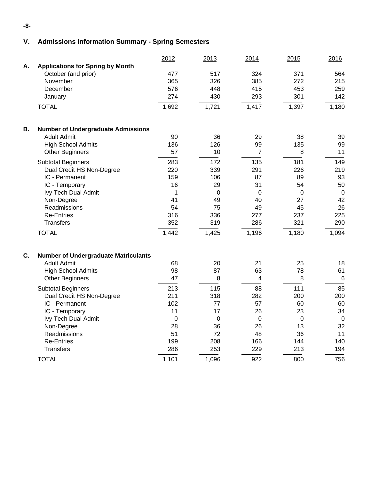# **V. Admissions Information Summary - Spring Semesters**

|    |                                             | 2012  | 2013        | 2014           | 2015           | 2016        |
|----|---------------------------------------------|-------|-------------|----------------|----------------|-------------|
| А. | <b>Applications for Spring by Month</b>     |       |             |                |                |             |
|    | October (and prior)                         | 477   | 517         | 324            | 371            | 564         |
|    | November                                    | 365   | 326         | 385            | 272            | 215         |
|    | December                                    | 576   | 448         | 415            | 453            | 259         |
|    | January                                     | 274   | 430         | 293            | 301            | 142         |
|    | <b>TOTAL</b>                                | 1,692 | 1,721       | 1,417          | 1,397          | 1,180       |
| В. | <b>Number of Undergraduate Admissions</b>   |       |             |                |                |             |
|    | <b>Adult Admit</b>                          | 90    | 36          | 29             | 38             | 39          |
|    | <b>High School Admits</b>                   | 136   | 126         | 99             | 135            | 99          |
|    | <b>Other Beginners</b>                      | 57    | 10          | $\overline{7}$ | 8              | 11          |
|    | <b>Subtotal Beginners</b>                   | 283   | 172         | 135            | 181            | 149         |
|    | Dual Credit HS Non-Degree                   | 220   | 339         | 291            | 226            | 219         |
|    | IC - Permanent                              | 159   | 106         | 87             | 89             | 93          |
|    | IC - Temporary                              | 16    | 29          | 31             | 54             | 50          |
|    | Ivy Tech Dual Admit                         | 1     | $\mathbf 0$ | $\Omega$       | $\overline{0}$ | $\mathbf 0$ |
|    | Non-Degree                                  | 41    | 49          | 40             | 27             | 42          |
|    | Readmissions                                | 54    | 75          | 49             | 45             | 26          |
|    | <b>Re-Entries</b>                           | 316   | 336         | 277            | 237            | 225         |
|    | <b>Transfers</b>                            | 352   | 319         | 286            | 321            | 290         |
|    | <b>TOTAL</b>                                | 1,442 | 1,425       | 1,196          | 1,180          | 1,094       |
| C. | <b>Number of Undergraduate Matriculants</b> |       |             |                |                |             |
|    | <b>Adult Admit</b>                          | 68    | 20          | 21             | 25             | 18          |
|    | <b>High School Admits</b>                   | 98    | 87          | 63             | 78             | 61          |
|    | <b>Other Beginners</b>                      | 47    | 8           | 4              | 8              | 6           |
|    | <b>Subtotal Beginners</b>                   | 213   | 115         | 88             | 111            | 85          |
|    | Dual Credit HS Non-Degree                   | 211   | 318         | 282            | 200            | 200         |
|    | IC - Permanent                              | 102   | 77          | 57             | 60             | 60          |
|    | IC - Temporary                              | 11    | 17          | 26             | 23             | 34          |
|    | Ivy Tech Dual Admit                         | 0     | $\mathbf 0$ | $\mathbf 0$    | $\mathbf 0$    | $\mathbf 0$ |
|    | Non-Degree                                  | 28    | 36          | 26             | 13             | 32          |
|    | Readmissions                                | 51    | 72          | 48             | 36             | 11          |
|    | <b>Re-Entries</b>                           | 199   | 208         | 166            | 144            | 140         |
|    | <b>Transfers</b>                            | 286   | 253         | 229            | 213            | 194         |
|    | <b>TOTAL</b>                                | 1,101 | 1,096       | 922            | 800            | 756         |

**-8-**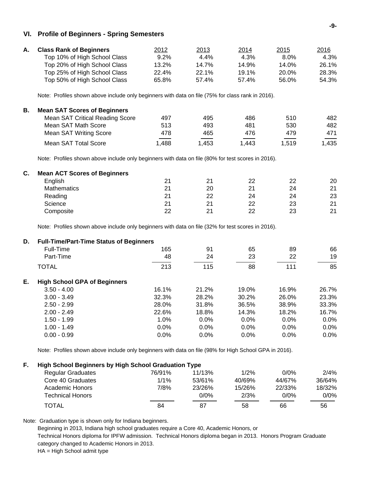#### **VI. Profile of Beginners - Spring Semesters**

| А. | <b>Class Rank of Beginners</b> | 2012    | <u>2013</u> | <u>2014</u> | 2015  | 2016  |
|----|--------------------------------|---------|-------------|-------------|-------|-------|
|    | Top 10% of High School Class   | $9.2\%$ | 4.4%        | 4.3%        | 8.0%  | 4.3%  |
|    | Top 20% of High School Class   | 13.2%   | 14.7%       | 14.9%       | 14.0% | 26.1% |
|    | Top 25% of High School Class   | 22.4%   | 22.1%       | 19.1%       | 20.0% | 28.3% |
|    | Top 50% of High School Class   | 65.8%   | 57.4%       | 57.4%       | 56.0% | 54.3% |

Note: Profiles shown above include only beginners with data on file (75% for class rank in 2016).

| В. | <b>Mean SAT Scores of Beginners</b>    |      |       |       |       |                                   |
|----|----------------------------------------|------|-------|-------|-------|-----------------------------------|
|    | <b>Mean SAT Critical Reading Score</b> | 497  | 495   | 486   | 510   | 482                               |
|    | Mean SAT Math Score                    | 513  | 493   | 481   | 530   | 482                               |
|    | Mean SAT Writing Score                 | 478  | 465   | 476   | 479   | 471                               |
|    | Mean SAT Total Score                   | .488 | 1.453 | 1.443 | 1.519 | $\overline{\phantom{a}}$<br>1,435 |

Note: Profiles shown above include only beginners with data on file (80% for test scores in 2016).

| <b>Mean ACT Scores of Beginners</b> |    |    |    |    |    |
|-------------------------------------|----|----|----|----|----|
| English                             | 21 | 21 | 22 | 22 | 20 |
| Mathematics                         | 21 | 20 | 21 | 24 | 21 |
| Reading                             | 21 | 22 | 24 | 24 | 23 |
| Science                             | 21 | 21 | 22 | 23 | 21 |
| Composite                           | 22 | 21 | 22 | 23 | 21 |
|                                     |    |    |    |    |    |

Note: Profiles shown above include only beginners with data on file (32% for test scores in 2016).

| D. | <b>Full-Time/Part-Time Status of Beginners</b> |         |       |         |       |         |
|----|------------------------------------------------|---------|-------|---------|-------|---------|
|    | Full-Time                                      | 165     | 91    | 65      | 89    | 66      |
|    | Part-Time                                      | 48      | 24    | 23      | 22    | 19      |
|    | <b>TOTAL</b>                                   | 213     | 115   | 88      | 111   | 85      |
| Е. | <b>High School GPA of Beginners</b>            |         |       |         |       |         |
|    | $3.50 - 4.00$                                  | 16.1%   | 21.2% | 19.0%   | 16.9% | 26.7%   |
|    | $3.00 - 3.49$                                  | 32.3%   | 28.2% | 30.2%   | 26.0% | 23.3%   |
|    | $2.50 - 2.99$                                  | 28.0%   | 31.8% | 36.5%   | 38.9% | 33.3%   |
|    | $2.00 - 2.49$                                  | 22.6%   | 18.8% | 14.3%   | 18.2% | 16.7%   |
|    | $1.50 - 1.99$                                  | $1.0\%$ | 0.0%  | $0.0\%$ | 0.0%  | $0.0\%$ |
|    | $1.00 - 1.49$                                  | 0.0%    | 0.0%  | $0.0\%$ | 0.0%  | 0.0%    |
|    | $0.00 - 0.99$                                  | 0.0%    | 0.0%  | 0.0%    | 0.0%  | 0.0%    |

Note: Profiles shown above include only beginners with data on file (98% for High School GPA in 2016).

| Е. | <b>High School Beginners by High School Graduation Type</b> |        |        |        |         |         |  |  |  |
|----|-------------------------------------------------------------|--------|--------|--------|---------|---------|--|--|--|
|    | <b>Regular Graduates</b>                                    | 76/91% | 11/13% | 1/2%   | $0/0\%$ | 2/4%    |  |  |  |
|    | Core 40 Graduates                                           | 1/1%   | 53/61% | 40/69% | 44/67%  | 36/64%  |  |  |  |
|    | Academic Honors                                             | 7/8%   | 23/26% | 15/26% | 22/33%  | 18/32%  |  |  |  |
|    | <b>Technical Honors</b>                                     |        | 0/0%   | 2/3%   | 0/0%    | $0/0\%$ |  |  |  |
|    | TOTAL                                                       | 84     | 87     | 58     | 66      | 56      |  |  |  |

Note: Graduation type is shown only for Indiana beginners.

Beginning in 2013, Indiana high school graduates require a Core 40, Academic Honors, or

Technical Honors diploma for IPFW admission. Technical Honors diploma began in 2013. Honors Program Graduate category changed to Academic Honors in 2013.

HA = High School admit type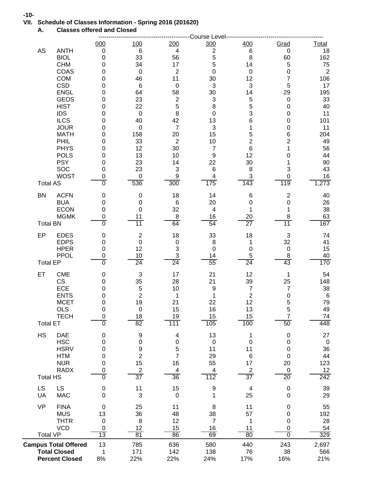# **VII. Schedule of Classes Information - Spring 2016 (201620)**

**A. Classes offered and Closed**

|                                                    |                            |                               |                   | Course Level              |                                   |                            |                   |
|----------------------------------------------------|----------------------------|-------------------------------|-------------------|---------------------------|-----------------------------------|----------------------------|-------------------|
|                                                    | 000                        | <u>100</u>                    | 200               | 300                       | 400                               | Grad                       | <b>Total</b>      |
| AS<br><b>ANTH</b><br><b>BIOL</b>                   | $\mathbf 0$<br>$\mathbf 0$ | 6<br>33                       | 4<br>56           | $\overline{c}$<br>5       | 6<br>8                            | 0<br>60                    | 18<br>162         |
| <b>CHM</b>                                         | 0                          | 34                            | 17                | 5                         | 14                                | 5                          | 75                |
| COAS                                               | 0                          | $\boldsymbol{0}$              | $\boldsymbol{2}$  | $\mathbf 0$               | $\pmb{0}$                         | $\mathbf 0$                | $\overline{2}$    |
| <b>COM</b><br><b>CSD</b>                           | 0<br>0                     | 46<br>$6\phantom{1}6$         | 11<br>$\mathbf 0$ | 30<br>$\mathbf{3}$        | 12<br>3                           | 7<br>5                     | 106<br>17         |
| <b>ENGL</b>                                        | 0                          | 64                            | 58                | 30                        | 14                                | 29                         | 195               |
| <b>GEOS</b>                                        | 0                          | 23                            | $\boldsymbol{2}$  | $\ensuremath{\mathsf{3}}$ | $\overline{5}$                    | $\mathbf 0$                | 33                |
| <b>HIST</b>                                        | 0                          | 22                            | 5                 | 8                         | $\overline{5}$                    | $\mathbf 0$                | 40                |
| <b>IDS</b><br><b>ILCS</b>                          | 0<br>0                     | $\pmb{0}$<br>40               | $\, 8$<br>42      | $\pmb{0}$<br>13           | 3<br>6                            | $\mathbf 0$<br>0           | 11<br>101         |
| <b>JOUR</b>                                        | 0                          | $\pmb{0}$                     | $\overline{7}$    | $\mathbf{3}$              | 1                                 | $\mathbf 0$                | 11                |
| <b>MATH</b>                                        | 0                          | 158                           | 20                | 15                        | 5                                 | 6                          | 204               |
| PHIL                                               | 0                          | 33                            | $\overline{2}$    | 10                        | $\overline{2}$                    | 2                          | 49                |
| <b>PHYS</b><br><b>POLS</b>                         | 0<br>0                     | 12<br>13                      | 30<br>10          | $\overline{7}$<br>9       | $\,6$<br>12                       | 1<br>0                     | 56<br>44          |
| <b>PSY</b>                                         | 0                          | 23                            | 14                | 22                        | 30                                | 1                          | 90                |
| SOC                                                | 0                          | 23                            | 3                 | 6                         | 8                                 | 3                          | 43                |
| <b>WOST</b>                                        | 0<br>$\overline{0}$        | $\pmb{0}$                     | 9                 | 4                         | $\ensuremath{\mathsf{3}}$<br>143  | 0                          | 16                |
| <b>Total AS</b>                                    |                            | 536                           | 300               | 175                       |                                   | 119                        | 1,273             |
| <b>ACFN</b><br><b>BN</b><br><b>BUA</b>             | 0<br>0                     | 0<br>0                        | 18<br>6           | 14<br>20                  | $\,6$<br>0                        | $\boldsymbol{2}$<br>0      | 40<br>26          |
| <b>ECON</b>                                        | 0                          | 0                             | 32                | $\overline{\mathbf{4}}$   | 1                                 | 1                          | 38                |
| <b>MGMK</b>                                        | 0                          | 11                            | 8                 | 16                        | 20                                | 8                          | 63                |
| <b>Total BN</b>                                    | $\overline{0}$             | $\overline{11}$               | 64                | 54                        | $\overline{27}$                   | $\overline{11}$            | 167               |
| EP<br><b>EDES</b><br><b>EDPS</b>                   | 0<br>0                     | $\overline{c}$<br>$\mathbf 0$ | 18<br>0           | 33<br>8                   | 18<br>1                           | $\mathbf{3}$<br>32         | 74<br>41          |
| <b>HPER</b>                                        | 0                          | 12                            | 3                 | $\pmb{0}$                 | 0                                 | $\pmb{0}$                  | 15                |
| <b>PPOL</b>                                        | 0<br>$\overline{0}$        | 10                            | 3                 | 14                        | 5                                 | 8                          | 40                |
| <b>Total EP</b>                                    |                            | 24                            | 24                | 55                        | 24                                | 43                         | 170               |
| ET<br><b>CME</b><br>$\mathsf{CS}\xspace$           | 0<br>0                     | $\sqrt{3}$<br>35              | 17<br>28          | 21<br>21                  | 12<br>39                          | $\mathbf 1$<br>25          | 54<br>148         |
| ECE                                                | 0                          | 5                             | 10                | 9                         | $\overline{7}$                    | $\overline{7}$             | 38                |
| <b>ENTS</b>                                        | 0                          | $\mathbf 2$                   | 1                 | 1                         | $\sqrt{2}$                        | $\mathbf 0$                | $6\phantom{1}6$   |
| <b>MCET</b><br><b>OLS</b>                          | 0<br>0                     | 19<br>$\pmb{0}$               | 21<br>15          | 22<br>16                  | 12<br>13                          | 5<br>5                     | 79<br>49          |
| <b>TECH</b>                                        | $\pmb{0}$                  | 18                            | 19                | 15                        | 15                                | $\overline{7}$             | 74                |
| <b>Total ET</b>                                    | $\overline{0}$             | 82                            | 111               | 105                       | 100                               | 50                         | 448               |
| <b>HS</b><br><b>DAE</b>                            | 0                          | 9                             | 4                 | 13                        | 1                                 | $\pmb{0}$                  | 27                |
| <b>HSC</b><br><b>HSRV</b>                          | 0<br>0                     | $\pmb{0}$                     | 0<br>5            | $\boldsymbol{0}$<br>11    | $\boldsymbol{0}$<br>11            | 0<br>$\pmb{0}$             | $\mathbf 0$<br>36 |
| <b>HTM</b>                                         | 0                          | $\frac{9}{2}$                 | 7                 | 29                        | $\,6$                             | $\mathbf 0$                | 44                |
| <b>NUR</b>                                         | 0                          | 15                            | 16                | 55                        | 17                                | 20                         | 123               |
| <b>RADX</b><br><b>Total HS</b>                     | 0<br>$\overline{0}$        | $\boldsymbol{2}$<br>37        | 4<br>36           | 4<br>112                  | $\overline{2}$<br>$\overline{37}$ | $\mathbf 0$<br>20          | 12<br>242         |
| <b>LS</b><br>LS                                    | 0                          | 11                            | 15                | 9                         | 4                                 | $\pmb{0}$                  | 39                |
| UA<br><b>MAC</b>                                   | $\mathbf 0$                | 3                             | $\mathbf 0$       | 1                         | 25                                | $\mathbf 0$                | 29                |
| <b>VP</b><br><b>FINA</b>                           | $\mathbf 0$                | 25                            | 11                | 8                         | 11                                | 0                          | 55                |
| <b>MUS</b><br><b>THTR</b>                          | 13<br>$\mathbf 0$          | 36<br>8                       | 48<br>12          | 38<br>$\overline{7}$      | 57<br>1                           | $\mathbf 0$<br>$\mathbf 0$ | 192<br>28         |
| <b>VCD</b>                                         | 0                          | 12                            | 15                | 16                        | 11                                | $\mathbf 0$                | 54                |
| <b>Total VP</b>                                    | 13                         | 81                            | 86                | 69                        | 80                                | $\overline{0}$             | 329               |
| <b>Campus Total Offered</b><br><b>Total Closed</b> | 13<br>1                    | 785<br>171                    | 636<br>142        | 580<br>138                | 440<br>76                         | 243<br>38                  | 2,697<br>566      |
| <b>Percent Closed</b>                              | 8%                         | 22%                           | 22%               | 24%                       | 17%                               | 16%                        | 21%               |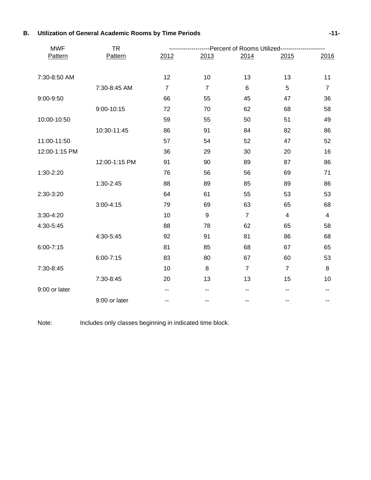| <b>MWF</b>    | <b>TR</b>     |                |                          | --------------Percent of Rooms Utilized---------------------- |                |                |
|---------------|---------------|----------------|--------------------------|---------------------------------------------------------------|----------------|----------------|
| Pattern       | Pattern       | 2012           | 2013                     | 2014                                                          | 2015           | 2016           |
|               |               |                |                          |                                                               |                |                |
| 7:30-8:50 AM  |               | 12             | 10                       | 13                                                            | 13             | 11             |
|               | 7:30-8:45 AM  | $\overline{7}$ | $\overline{7}$           | $6\phantom{1}$                                                | 5              | $\overline{7}$ |
| 9:00-9:50     |               | 66             | 55                       | 45                                                            | 47             | 36             |
|               | 9:00-10:15    | 72             | 70                       | 62                                                            | 68             | 58             |
| 10:00-10:50   |               | 59             | 55                       | 50                                                            | 51             | 49             |
|               | 10:30-11:45   | 86             | 91                       | 84                                                            | 82             | 86             |
| 11:00-11:50   |               | 57             | 54                       | 52                                                            | 47             | 52             |
| 12:00-1:15 PM |               | 36             | 29                       | 30                                                            | 20             | 16             |
|               | 12:00-1:15 PM | 91             | 90                       | 89                                                            | 87             | 86             |
| 1:30-2:20     |               | 76             | 56                       | 56                                                            | 69             | 71             |
|               | 1:30-2:45     | 88             | 89                       | 85                                                            | 89             | 86             |
| 2:30-3:20     |               | 64             | 61                       | 55                                                            | 53             | 53             |
|               | $3:00 - 4:15$ | 79             | 69                       | 63                                                            | 65             | 68             |
| 3:30-4:20     |               | 10             | 9                        | $\overline{7}$                                                | $\overline{4}$ | $\overline{4}$ |
| 4:30-5:45     |               | 88             | 78                       | 62                                                            | 65             | 58             |
|               | 4:30-5:45     | 92             | 91                       | 81                                                            | 86             | 68             |
| $6:00 - 7:15$ |               | 81             | 85                       | 68                                                            | 67             | 65             |
|               | $6:00 - 7:15$ | 83             | 80                       | 67                                                            | 60             | 53             |
| 7:30-8:45     |               | 10             | $\, 8$                   | $\overline{7}$                                                | $\overline{7}$ | 8              |
|               | 7:30-8:45     | 20             | 13                       | 13                                                            | 15             | 10             |
| 9:00 or later |               | --             | --                       |                                                               |                |                |
|               | 9:00 or later | --             | $\overline{\phantom{m}}$ | --                                                            | --             | --             |

### **B. Utilization of General Academic Rooms by Time Periods -11-**

Note: Includes only classes beginning in indicated time block.